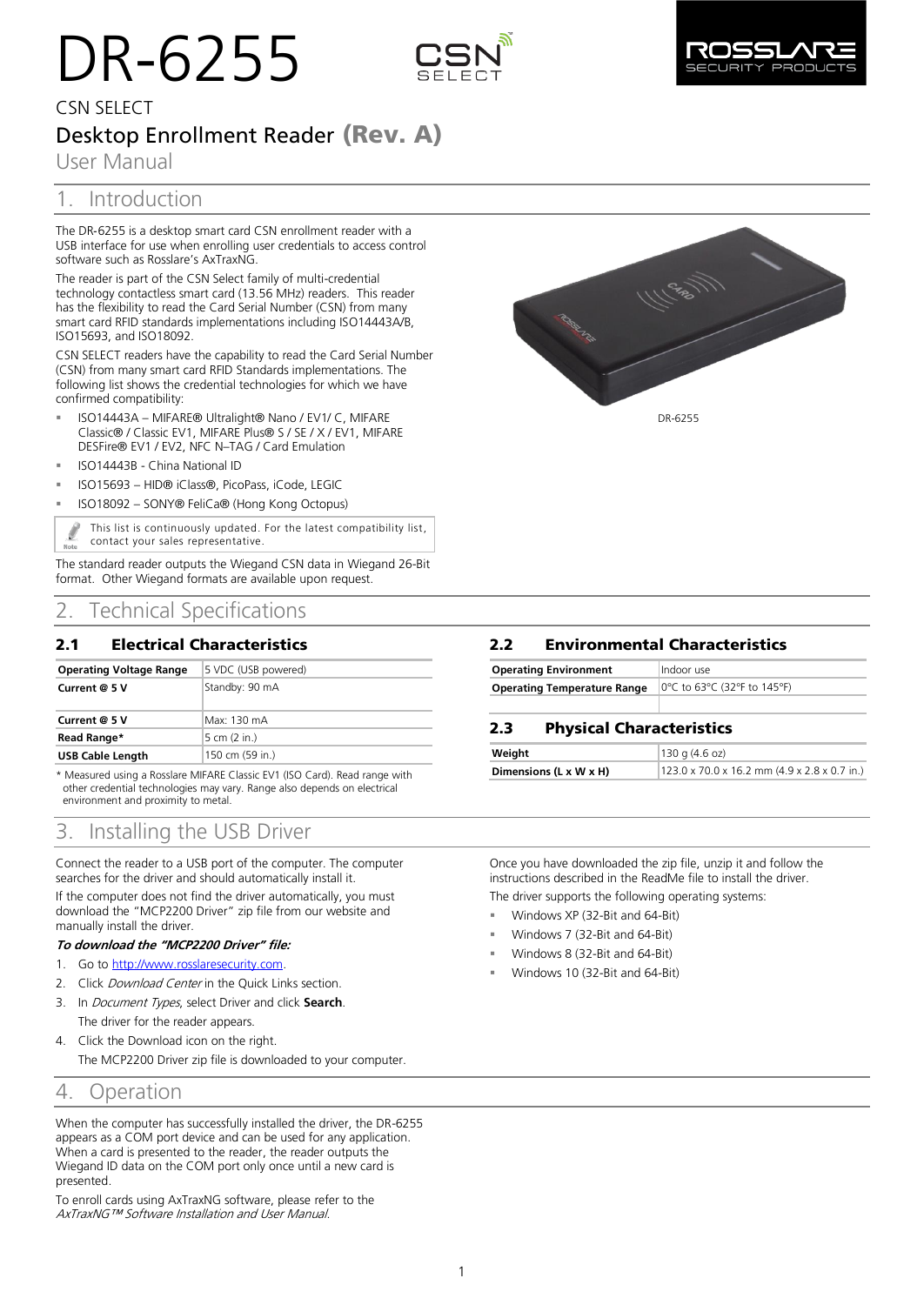# DR-6255





# CSN SELECT Desktop Enrollment Reader **(Rev. A)**

User Manual

# 1. Introduction

The DR‐6255 is a desktop smart card CSN enrollment reader with a USB interface for use when enrolling user credentials to access control software such as Rosslare's AxTraxNG.

The reader is part of the CSN Select family of multi-credential technology contactless smart card (13.56 MHz) readers. This reader has the flexibility to read the Card Serial Number (CSN) from many smart card RFID standards implementations including ISO14443A/B, ISO15693, and ISO18092.

CSN SELECT readers have the capability to read the Card Serial Number (CSN) from many smart card RFID Standards implementations. The following list shows the credential technologies for which we have confirmed compatibility:

- ISO14443A MIFARE® Ultralight® Nano / EV1/ C, MIFARE Classic® / Classic EV1, MIFARE Plus® S / SE / X / EV1, MIFARE DESFire® EV1 / EV2, NFC N–TAG / Card Emulation
- ISO14443B China National ID
- ISO15693 HID® iClass®, PicoPass, iCode, LEGIC
- ISO18092 SONY® FeliCa® (Hong Kong Octopus)

This list is continuously updated. For the latest compatibility list, contact your sales representative.

The standard reader outputs the Wiegand CSN data in Wiegand 26-Bit format. Other Wiegand formats are available upon request.

# 2. Technical Specifications

## **2.1 Electrical Characteristics**

| Current @ 5 V           | Standby: 90 mA  |
|-------------------------|-----------------|
| Current @ 5 V           | Max: 130 mA     |
| Read Range*             | 5 cm (2 in.)    |
| <b>USB Cable Length</b> | 150 cm (59 in.) |

\* Measured using a Rosslare MIFARE Classic EV1 (ISO Card). Read range with other credential technologies may vary. Range also depends on electrical environment and proximity to metal.

# 3. Installing the USB Driver

Connect the reader to a USB port of the computer. The computer searches for the driver and should automatically install it.

If the computer does not find the driver automatically, you must download the "MCP2200 Driver" zip file from our website and manually install the driver.

## **To download the "MCP2200 Driver" file:**

- 1. Go to [http://www.rosslaresecurity.com.](http://www.rosslaresecurity.com/)
- 2. Click Download Center in the Quick Links section.
- 3. In Document Types, select Driver and click **Search**. The driver for the reader appears.
- 4. Click the Download icon on the right.

The MCP2200 Driver zip file is downloaded to your computer.

## 4. Operation

When the computer has successfully installed the driver, the DR-6255 appears as a COM port device and can be used for any application. When a card is presented to the reader, the reader outputs the Wiegand ID data on the COM port only once until a new card is presented.

To enroll cards using AxTraxNG software, please refer to the AxTraxNG™ Software Installation and User Manual.



## **2.2 Environmental Characteristics**

| <b>Operating Environment</b>       | Indoor use                  |
|------------------------------------|-----------------------------|
| <b>Operating Temperature Range</b> | 0°C to 63°C (32°F to 145°F) |

## **2.3 Physical Characteristics**

| Weight                 | 130q(4.6oz)                                              |
|------------------------|----------------------------------------------------------|
| Dimensions (L x W x H) | $123.0 \times 70.0 \times 16.2$ mm (4.9 x 2.8 x 0.7 in.) |

Once you have downloaded the zip file, unzip it and follow the instructions described in the ReadMe file to install the driver.

The driver supports the following operating systems:

- Windows XP (32-Bit and 64-Bit)
- Windows 7 (32-Bit and 64-Bit)
- Windows 8 (32-Bit and 64-Bit)
- Windows 10 (32-Bit and 64-Bit)